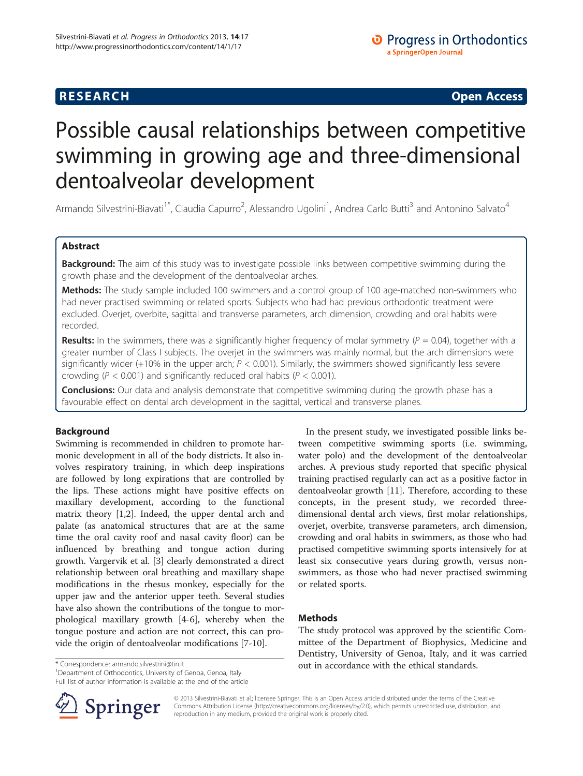## **RESEARCH CHINESE ARCH CHINESE ARCH CHINESE ARCH <b>CHINESE ARCH**

# Possible causal relationships between competitive swimming in growing age and three-dimensional dentoalveolar development

Armando Silvestrini-Biavati<sup>1\*</sup>, Claudia Capurro<sup>2</sup>, Alessandro Ugolini<sup>1</sup>, Andrea Carlo Butti<sup>3</sup> and Antonino Salvato<sup>4</sup>

## Abstract

Background: The aim of this study was to investigate possible links between competitive swimming during the growth phase and the development of the dentoalveolar arches.

Methods: The study sample included 100 swimmers and a control group of 100 age-matched non-swimmers who had never practised swimming or related sports. Subjects who had had previous orthodontic treatment were excluded. Overjet, overbite, sagittal and transverse parameters, arch dimension, crowding and oral habits were recorded.

**Results:** In the swimmers, there was a significantly higher frequency of molar symmetry ( $P = 0.04$ ), together with a greater number of Class I subjects. The overjet in the swimmers was mainly normal, but the arch dimensions were significantly wider (+10% in the upper arch;  $P < 0.001$ ). Similarly, the swimmers showed significantly less severe crowding ( $P < 0.001$ ) and significantly reduced oral habits ( $P < 0.001$ ).

**Conclusions:** Our data and analysis demonstrate that competitive swimming during the growth phase has a favourable effect on dental arch development in the sagittal, vertical and transverse planes.

## Background

Swimming is recommended in children to promote harmonic development in all of the body districts. It also involves respiratory training, in which deep inspirations are followed by long expirations that are controlled by the lips. These actions might have positive effects on maxillary development, according to the functional matrix theory [[1,2\]](#page-5-0). Indeed, the upper dental arch and palate (as anatomical structures that are at the same time the oral cavity roof and nasal cavity floor) can be influenced by breathing and tongue action during growth. Vargervik et al. [\[3](#page-5-0)] clearly demonstrated a direct relationship between oral breathing and maxillary shape modifications in the rhesus monkey, especially for the upper jaw and the anterior upper teeth. Several studies have also shown the contributions of the tongue to morphological maxillary growth [[4-6\]](#page-5-0), whereby when the tongue posture and action are not correct, this can provide the origin of dentoalveolar modifications [\[7](#page-5-0)-[10\]](#page-5-0).

In the present study, we investigated possible links between competitive swimming sports (i.e. swimming, water polo) and the development of the dentoalveolar arches. A previous study reported that specific physical training practised regularly can act as a positive factor in dentoalveolar growth [\[11](#page-5-0)]. Therefore, according to these concepts, in the present study, we recorded threedimensional dental arch views, first molar relationships, overjet, overbite, transverse parameters, arch dimension, crowding and oral habits in swimmers, as those who had practised competitive swimming sports intensively for at least six consecutive years during growth, versus nonswimmers, as those who had never practised swimming or related sports.

## Methods

The study protocol was approved by the scientific Committee of the Department of Biophysics, Medicine and Dentistry, University of Genoa, Italy, and it was carried \* Correspondence: [armando.silvestrini@tin.it](mailto:armando.silvestrini@tin.it) in accordance with the ethical standards.

<sup>1</sup>Department of Orthodontics, University of Genoa, Genoa, Italy Full list of author information is available at the end of the article

Springer

© 2013 Silvestrini-Biavati et al.; licensee Springer. This is an Open Access article distributed under the terms of the Creative Commons Attribution License (<http://creativecommons.org/licenses/by/2.0>), which permits unrestricted use, distribution, and reproduction in any medium, provided the original work is properly cited.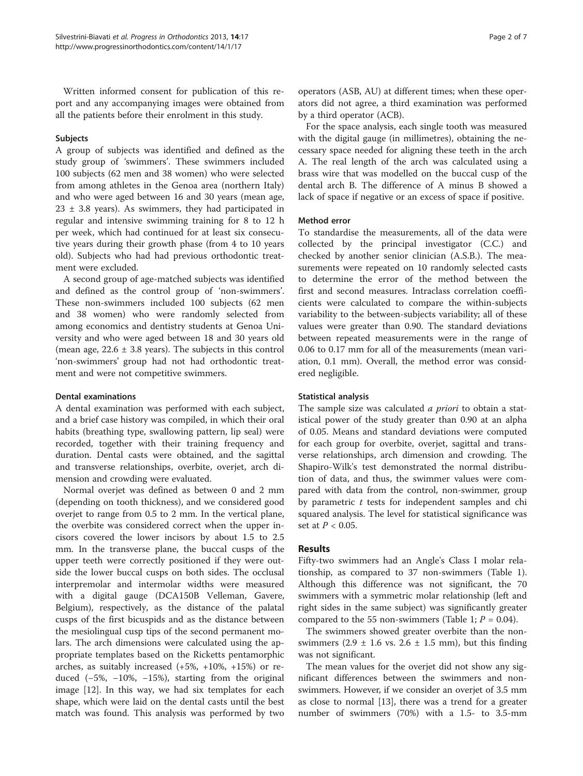Written informed consent for publication of this report and any accompanying images were obtained from all the patients before their enrolment in this study.

### Subjects

A group of subjects was identified and defined as the study group of 'swimmers'. These swimmers included 100 subjects (62 men and 38 women) who were selected from among athletes in the Genoa area (northern Italy) and who were aged between 16 and 30 years (mean age,  $23 \pm 3.8$  years). As swimmers, they had participated in regular and intensive swimming training for 8 to 12 h per week, which had continued for at least six consecutive years during their growth phase (from 4 to 10 years old). Subjects who had had previous orthodontic treatment were excluded.

A second group of age-matched subjects was identified and defined as the control group of 'non-swimmers'. These non-swimmers included 100 subjects (62 men and 38 women) who were randomly selected from among economics and dentistry students at Genoa University and who were aged between 18 and 30 years old (mean age,  $22.6 \pm 3.8$  years). The subjects in this control 'non-swimmers' group had not had orthodontic treatment and were not competitive swimmers.

### Dental examinations

A dental examination was performed with each subject, and a brief case history was compiled, in which their oral habits (breathing type, swallowing pattern, lip seal) were recorded, together with their training frequency and duration. Dental casts were obtained, and the sagittal and transverse relationships, overbite, overjet, arch dimension and crowding were evaluated.

Normal overjet was defined as between 0 and 2 mm (depending on tooth thickness), and we considered good overjet to range from 0.5 to 2 mm. In the vertical plane, the overbite was considered correct when the upper incisors covered the lower incisors by about 1.5 to 2.5 mm. In the transverse plane, the buccal cusps of the upper teeth were correctly positioned if they were outside the lower buccal cusps on both sides. The occlusal interpremolar and intermolar widths were measured with a digital gauge (DCA150B Velleman, Gavere, Belgium), respectively, as the distance of the palatal cusps of the first bicuspids and as the distance between the mesiolingual cusp tips of the second permanent molars. The arch dimensions were calculated using the appropriate templates based on the Ricketts pentamorphic arches, as suitably increased (+5%, +10%, +15%) or reduced (−5%, −10%, −15%), starting from the original image [\[12](#page-5-0)]. In this way, we had six templates for each shape, which were laid on the dental casts until the best match was found. This analysis was performed by two

operators (ASB, AU) at different times; when these operators did not agree, a third examination was performed by a third operator (ACB).

For the space analysis, each single tooth was measured with the digital gauge (in millimetres), obtaining the necessary space needed for aligning these teeth in the arch A. The real length of the arch was calculated using a brass wire that was modelled on the buccal cusp of the dental arch B. The difference of A minus B showed a lack of space if negative or an excess of space if positive.

#### Method error

To standardise the measurements, all of the data were collected by the principal investigator (C.C.) and checked by another senior clinician (A.S.B.). The measurements were repeated on 10 randomly selected casts to determine the error of the method between the first and second measures. Intraclass correlation coefficients were calculated to compare the within-subjects variability to the between-subjects variability; all of these values were greater than 0.90. The standard deviations between repeated measurements were in the range of 0.06 to 0.17 mm for all of the measurements (mean variation, 0.1 mm). Overall, the method error was considered negligible.

#### Statistical analysis

The sample size was calculated *a priori* to obtain a statistical power of the study greater than 0.90 at an alpha of 0.05. Means and standard deviations were computed for each group for overbite, overjet, sagittal and transverse relationships, arch dimension and crowding. The Shapiro-Wilk's test demonstrated the normal distribution of data, and thus, the swimmer values were compared with data from the control, non-swimmer, group by parametric  $t$  tests for independent samples and chi squared analysis. The level for statistical significance was set at  $P < 0.05$ .

## Results

Fifty-two swimmers had an Angle's Class I molar relationship, as compared to 37 non-swimmers (Table [1](#page-2-0)). Although this difference was not significant, the 70 swimmers with a symmetric molar relationship (left and right sides in the same subject) was significantly greater compared to the 55 non-swimmers (Table [1](#page-2-0);  $P = 0.04$ ).

The swimmers showed greater overbite than the nonswimmers  $(2.9 \pm 1.6 \text{ vs. } 2.6 \pm 1.5 \text{ mm})$ , but this finding was not significant.

The mean values for the overjet did not show any significant differences between the swimmers and nonswimmers. However, if we consider an overjet of 3.5 mm as close to normal [[13](#page-5-0)], there was a trend for a greater number of swimmers (70%) with a 1.5- to 3.5-mm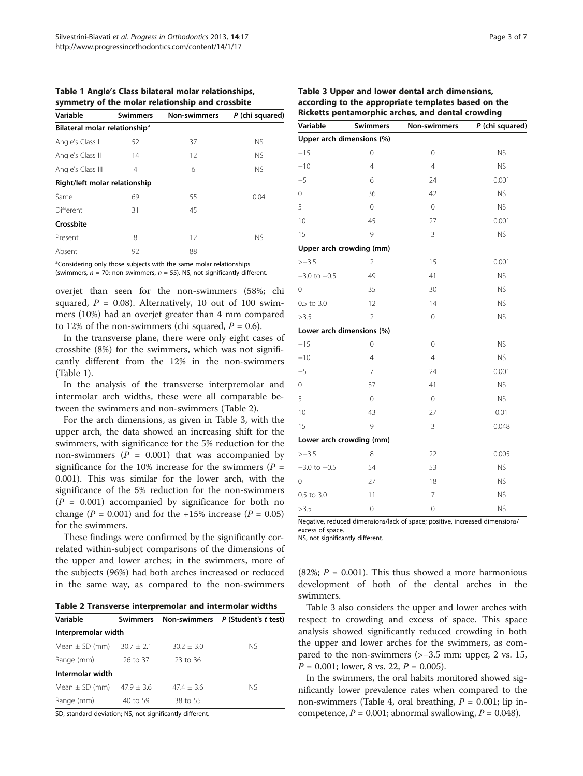<span id="page-2-0"></span>Table 1 Angle's Class bilateral molar relationships, symmetry of the molar relationship and crossbite

| Variable                                  | <b>Swimmers</b> | <b>Non-swimmers</b> | P (chi squared) |
|-------------------------------------------|-----------------|---------------------|-----------------|
| Bilateral molar relationship <sup>a</sup> |                 |                     |                 |
| Angle's Class I                           | 52              | 37                  | <b>NS</b>       |
| Angle's Class II                          | 14              | 12                  | <b>NS</b>       |
| Angle's Class III                         | 4               | 6                   | <b>NS</b>       |
| Right/left molar relationship             |                 |                     |                 |
| Same                                      | 69              | 55                  | 0.04            |
| Different                                 | 31              | 45                  |                 |
| Crossbite                                 |                 |                     |                 |
| Present                                   | 8               | 12                  | <b>NS</b>       |
| Absent                                    | 92              | 88                  |                 |

<sup>a</sup>Considering only those subjects with the same molar relationships (swimmers,  $n = 70$ ; non-swimmers,  $n = 55$ ). NS, not significantly different.

overjet than seen for the non-swimmers (58%; chi squared,  $P = 0.08$ ). Alternatively, 10 out of 100 swimmers (10%) had an overjet greater than 4 mm compared to 12% of the non-swimmers (chi squared,  $P = 0.6$ ).

In the transverse plane, there were only eight cases of crossbite (8%) for the swimmers, which was not significantly different from the 12% in the non-swimmers (Table 1).

In the analysis of the transverse interpremolar and intermolar arch widths, these were all comparable between the swimmers and non-swimmers (Table 2).

For the arch dimensions, as given in Table 3, with the upper arch, the data showed an increasing shift for the swimmers, with significance for the 5% reduction for the non-swimmers ( $P = 0.001$ ) that was accompanied by significance for the 10% increase for the swimmers ( $P =$ 0.001). This was similar for the lower arch, with the significance of the 5% reduction for the non-swimmers  $(P = 0.001)$  accompanied by significance for both no change ( $P = 0.001$ ) and for the +15% increase ( $P = 0.05$ ) for the swimmers.

These findings were confirmed by the significantly correlated within-subject comparisons of the dimensions of the upper and lower arches; in the swimmers, more of the subjects (96%) had both arches increased or reduced in the same way, as compared to the non-swimmers

Table 2 Transverse interpremolar and intermolar widths

| Variable                          | Swimmers |              | Non-swimmers P (Student's t test) |
|-----------------------------------|----------|--------------|-----------------------------------|
| Interpremolar width               |          |              |                                   |
| Mean $\pm$ SD (mm) 30.7 $\pm$ 2.1 |          | $30.2 + 3.0$ | NS.                               |
| Range (mm)                        | 26 to 37 | 23 to 36     |                                   |
| Intermolar width                  |          |              |                                   |
| Mean $\pm$ SD (mm) $47.9 \pm 3.6$ |          | $47.4 + 3.6$ | NS.                               |
| Range (mm)                        | 40 to 59 | 38 to 55     |                                   |

SD, standard deviation; NS, not significantly different.

|          |                 | Table 3 Upper and lower dental arch dimensions,                                                          |             |
|----------|-----------------|----------------------------------------------------------------------------------------------------------|-------------|
|          |                 | according to the appropriate templates based on the<br>Ricketts pentamorphic arches, and dental crowding |             |
| Variable | <b>Swimmers</b> | <b>Non-swimmers</b>                                                                                      | P (chi saua |

| Variable                  | <b>Swimmers</b> | <b>Non-swimmers</b> | P (chi squared) |
|---------------------------|-----------------|---------------------|-----------------|
| Upper arch dimensions (%) |                 |                     |                 |
| $-15$                     | $\overline{0}$  | $\overline{0}$      | <b>NS</b>       |
| $-10$                     | $\overline{4}$  | $\overline{4}$      | <b>NS</b>       |
| $-5$                      | 6               | 24                  | 0.001           |
| 0                         | 36              | 42                  | <b>NS</b>       |
| 5                         | $\overline{0}$  | $\mathbf 0$         | <b>NS</b>       |
| 10                        | 45              | 27                  | 0.001           |
| 15                        | 9               | 3                   | <b>NS</b>       |
| Upper arch crowding (mm)  |                 |                     |                 |
| $> -3.5$                  | $\overline{2}$  | 15                  | 0.001           |
| $-3.0$ to $-0.5$          | 49              | 41                  | <b>NS</b>       |
| 0                         | 35              | 30                  | <b>NS</b>       |
| 0.5 to 3.0                | 12              | 14                  | <b>NS</b>       |
| >3.5                      | $\overline{2}$  | $\mathbf 0$         | <b>NS</b>       |
| Lower arch dimensions (%) |                 |                     |                 |
| $-15$                     | $\overline{0}$  | $\overline{0}$      | <b>NS</b>       |
| $-10$                     | $\overline{4}$  | $\overline{4}$      | <b>NS</b>       |
| $-5$                      | $\overline{7}$  | 24                  | 0.001           |
| 0                         | 37              | 41                  | <b>NS</b>       |
| 5                         | $\mathbf 0$     | $\mathbf 0$         | <b>NS</b>       |
| 10                        | 43              | 27                  | 0.01            |
| 15                        | 9               | 3                   | 0.048           |
| Lower arch crowding (mm)  |                 |                     |                 |
| $> -3.5$                  | 8               | 22                  | 0.005           |
| $-3.0$ to $-0.5$          | 54              | 53                  | <b>NS</b>       |
| 0                         | 27              | 18                  | <b>NS</b>       |
| 0.5 to 3.0                | 11              | $\overline{7}$      | <b>NS</b>       |
| >3.5                      | $\overline{0}$  | $\overline{O}$      | <b>NS</b>       |

Negative, reduced dimensions/lack of space; positive, increased dimensions/ excess of space.

NS, not significantly different.

(82%;  $P = 0.001$ ). This thus showed a more harmonious development of both of the dental arches in the swimmers.

Table 3 also considers the upper and lower arches with respect to crowding and excess of space. This space analysis showed significantly reduced crowding in both the upper and lower arches for the swimmers, as compared to the non-swimmers (>−3.5 mm: upper, 2 vs. 15,  $P = 0.001$ ; lower, 8 vs. 22,  $P = 0.005$ ).

In the swimmers, the oral habits monitored showed significantly lower prevalence rates when compared to the non-swimmers (Table [4](#page-3-0), oral breathing,  $P = 0.001$ ; lip incompetence,  $P = 0.001$ ; abnormal swallowing,  $P = 0.048$ ).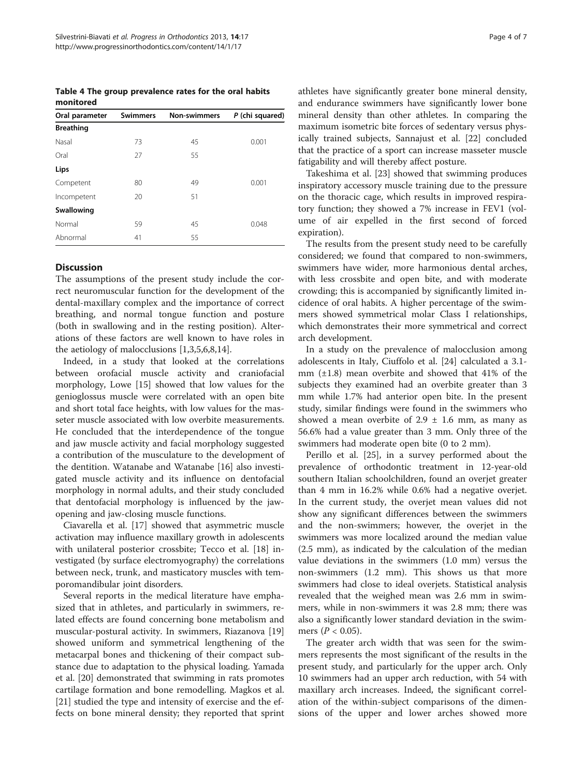<span id="page-3-0"></span>Table 4 The group prevalence rates for the oral habits monitored

| Oral parameter   | <b>Swimmers</b> | <b>Non-swimmers</b> | P (chi squared) |
|------------------|-----------------|---------------------|-----------------|
| <b>Breathing</b> |                 |                     |                 |
| Nasal            | 73              | 45                  | 0.001           |
| Oral             | 27              | 55                  |                 |
| Lips             |                 |                     |                 |
| Competent        | 80              | 49                  | 0.001           |
| Incompetent      | 20              | 51                  |                 |
| Swallowing       |                 |                     |                 |
| Normal           | 59              | 45                  | 0.048           |
| Abnormal         | 41              | 55                  |                 |

## Discussion

The assumptions of the present study include the correct neuromuscular function for the development of the dental-maxillary complex and the importance of correct breathing, and normal tongue function and posture (both in swallowing and in the resting position). Alterations of these factors are well known to have roles in the aetiology of malocclusions [\[1,3](#page-5-0),[5](#page-5-0),[6,8,14\]](#page-5-0).

Indeed, in a study that looked at the correlations between orofacial muscle activity and craniofacial morphology, Lowe [[15](#page-5-0)] showed that low values for the genioglossus muscle were correlated with an open bite and short total face heights, with low values for the masseter muscle associated with low overbite measurements. He concluded that the interdependence of the tongue and jaw muscle activity and facial morphology suggested a contribution of the musculature to the development of the dentition. Watanabe and Watanabe [\[16](#page-5-0)] also investigated muscle activity and its influence on dentofacial morphology in normal adults, and their study concluded that dentofacial morphology is influenced by the jawopening and jaw-closing muscle functions.

Ciavarella et al. [[17](#page-5-0)] showed that asymmetric muscle activation may influence maxillary growth in adolescents with unilateral posterior crossbite; Tecco et al. [[18\]](#page-5-0) investigated (by surface electromyography) the correlations between neck, trunk, and masticatory muscles with temporomandibular joint disorders.

Several reports in the medical literature have emphasized that in athletes, and particularly in swimmers, related effects are found concerning bone metabolism and muscular-postural activity. In swimmers, Riazanova [[19](#page-6-0)] showed uniform and symmetrical lengthening of the metacarpal bones and thickening of their compact substance due to adaptation to the physical loading. Yamada et al. [[20\]](#page-6-0) demonstrated that swimming in rats promotes cartilage formation and bone remodelling. Magkos et al. [[21\]](#page-6-0) studied the type and intensity of exercise and the effects on bone mineral density; they reported that sprint athletes have significantly greater bone mineral density, and endurance swimmers have significantly lower bone mineral density than other athletes. In comparing the maximum isometric bite forces of sedentary versus physically trained subjects, Sannajust et al. [[22](#page-6-0)] concluded that the practice of a sport can increase masseter muscle fatigability and will thereby affect posture.

Takeshima et al. [\[23\]](#page-6-0) showed that swimming produces inspiratory accessory muscle training due to the pressure on the thoracic cage, which results in improved respiratory function; they showed a 7% increase in FEV1 (volume of air expelled in the first second of forced expiration).

The results from the present study need to be carefully considered; we found that compared to non-swimmers, swimmers have wider, more harmonious dental arches, with less crossbite and open bite, and with moderate crowding; this is accompanied by significantly limited incidence of oral habits. A higher percentage of the swimmers showed symmetrical molar Class I relationships, which demonstrates their more symmetrical and correct arch development.

In a study on the prevalence of malocclusion among adolescents in Italy, Ciuffolo et al. [[24\]](#page-6-0) calculated a 3.1 mm (±1.8) mean overbite and showed that 41% of the subjects they examined had an overbite greater than 3 mm while 1.7% had anterior open bite. In the present study, similar findings were found in the swimmers who showed a mean overbite of  $2.9 \pm 1.6$  mm, as many as 56.6% had a value greater than 3 mm. Only three of the swimmers had moderate open bite (0 to 2 mm).

Perillo et al. [[25](#page-6-0)], in a survey performed about the prevalence of orthodontic treatment in 12-year-old southern Italian schoolchildren, found an overjet greater than 4 mm in 16.2% while 0.6% had a negative overjet. In the current study, the overjet mean values did not show any significant differences between the swimmers and the non-swimmers; however, the overjet in the swimmers was more localized around the median value (2.5 mm), as indicated by the calculation of the median value deviations in the swimmers (1.0 mm) versus the non-swimmers (1.2 mm). This shows us that more swimmers had close to ideal overjets. Statistical analysis revealed that the weighed mean was 2.6 mm in swimmers, while in non-swimmers it was 2.8 mm; there was also a significantly lower standard deviation in the swimmers ( $P < 0.05$ ).

The greater arch width that was seen for the swimmers represents the most significant of the results in the present study, and particularly for the upper arch. Only 10 swimmers had an upper arch reduction, with 54 with maxillary arch increases. Indeed, the significant correlation of the within-subject comparisons of the dimensions of the upper and lower arches showed more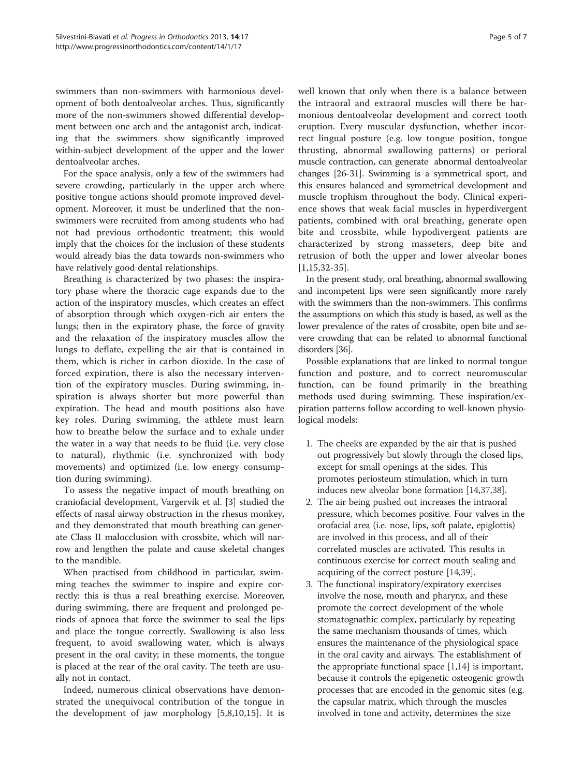swimmers than non-swimmers with harmonious development of both dentoalveolar arches. Thus, significantly more of the non-swimmers showed differential development between one arch and the antagonist arch, indicating that the swimmers show significantly improved within-subject development of the upper and the lower dentoalveolar arches.

For the space analysis, only a few of the swimmers had severe crowding, particularly in the upper arch where positive tongue actions should promote improved development. Moreover, it must be underlined that the nonswimmers were recruited from among students who had not had previous orthodontic treatment; this would imply that the choices for the inclusion of these students would already bias the data towards non-swimmers who have relatively good dental relationships.

Breathing is characterized by two phases: the inspiratory phase where the thoracic cage expands due to the action of the inspiratory muscles, which creates an effect of absorption through which oxygen-rich air enters the lungs; then in the expiratory phase, the force of gravity and the relaxation of the inspiratory muscles allow the lungs to deflate, expelling the air that is contained in them, which is richer in carbon dioxide. In the case of forced expiration, there is also the necessary intervention of the expiratory muscles. During swimming, inspiration is always shorter but more powerful than expiration. The head and mouth positions also have key roles. During swimming, the athlete must learn how to breathe below the surface and to exhale under the water in a way that needs to be fluid (i.e. very close to natural), rhythmic (i.e. synchronized with body movements) and optimized (i.e. low energy consumption during swimming).

To assess the negative impact of mouth breathing on craniofacial development, Vargervik et al. [\[3](#page-5-0)] studied the effects of nasal airway obstruction in the rhesus monkey, and they demonstrated that mouth breathing can generate Class II malocclusion with crossbite, which will narrow and lengthen the palate and cause skeletal changes to the mandible.

When practised from childhood in particular, swimming teaches the swimmer to inspire and expire correctly: this is thus a real breathing exercise. Moreover, during swimming, there are frequent and prolonged periods of apnoea that force the swimmer to seal the lips and place the tongue correctly. Swallowing is also less frequent, to avoid swallowing water, which is always present in the oral cavity; in these moments, the tongue is placed at the rear of the oral cavity. The teeth are usually not in contact.

Indeed, numerous clinical observations have demonstrated the unequivocal contribution of the tongue in the development of jaw morphology [[5,8](#page-5-0),[10,15\]](#page-5-0). It is well known that only when there is a balance between the intraoral and extraoral muscles will there be harmonious dentoalveolar development and correct tooth eruption. Every muscular dysfunction, whether incorrect lingual posture (e.g. low tongue position, tongue thrusting, abnormal swallowing patterns) or perioral muscle contraction, can generate abnormal dentoalveolar changes [\[26-31\]](#page-6-0). Swimming is a symmetrical sport, and this ensures balanced and symmetrical development and muscle trophism throughout the body. Clinical experience shows that weak facial muscles in hyperdivergent patients, combined with oral breathing, generate open bite and crossbite, while hypodivergent patients are characterized by strong masseters, deep bite and retrusion of both the upper and lower alveolar bones [[1,15](#page-5-0),[32-35](#page-6-0)].

In the present study, oral breathing, abnormal swallowing and incompetent lips were seen significantly more rarely with the swimmers than the non-swimmers. This confirms the assumptions on which this study is based, as well as the lower prevalence of the rates of crossbite, open bite and severe crowding that can be related to abnormal functional disorders [\[36\]](#page-6-0).

Possible explanations that are linked to normal tongue function and posture, and to correct neuromuscular function, can be found primarily in the breathing methods used during swimming. These inspiration/expiration patterns follow according to well-known physiological models:

- 1. The cheeks are expanded by the air that is pushed out progressively but slowly through the closed lips, except for small openings at the sides. This promotes periosteum stimulation, which in turn induces new alveolar bone formation [[14](#page-5-0)[,37,38\]](#page-6-0).
- 2. The air being pushed out increases the intraoral pressure, which becomes positive. Four valves in the orofacial area (i.e. nose, lips, soft palate, epiglottis) are involved in this process, and all of their correlated muscles are activated. This results in continuous exercise for correct mouth sealing and acquiring of the correct posture [\[14,](#page-5-0)[39\]](#page-6-0).
- 3. The functional inspiratory/expiratory exercises involve the nose, mouth and pharynx, and these promote the correct development of the whole stomatognathic complex, particularly by repeating the same mechanism thousands of times, which ensures the maintenance of the physiological space in the oral cavity and airways. The establishment of the appropriate functional space [\[1,14](#page-5-0)] is important, because it controls the epigenetic osteogenic growth processes that are encoded in the genomic sites (e.g. the capsular matrix, which through the muscles involved in tone and activity, determines the size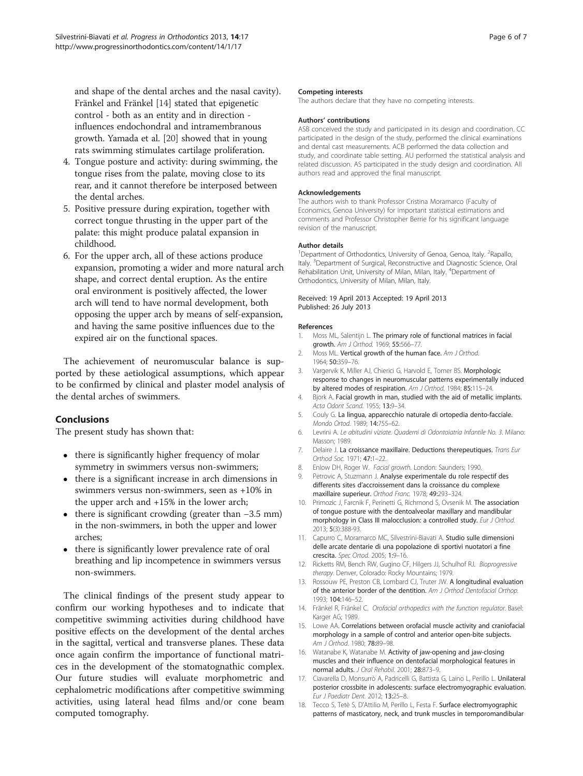<span id="page-5-0"></span>and shape of the dental arches and the nasal cavity). Fränkel and Fränkel [14] stated that epigenetic control - both as an entity and in direction influences endochondral and intramembranous growth. Yamada et al. [[20](#page-6-0)] showed that in young rats swimming stimulates cartilage proliferation.

- 4. Tongue posture and activity: during swimming, the tongue rises from the palate, moving close to its rear, and it cannot therefore be interposed between the dental arches.
- 5. Positive pressure during expiration, together with correct tongue thrusting in the upper part of the palate: this might produce palatal expansion in childhood.
- 6. For the upper arch, all of these actions produce expansion, promoting a wider and more natural arch shape, and correct dental eruption. As the entire oral environment is positively affected, the lower arch will tend to have normal development, both opposing the upper arch by means of self-expansion, and having the same positive influences due to the expired air on the functional spaces.

The achievement of neuromuscular balance is supported by these aetiological assumptions, which appear to be confirmed by clinical and plaster model analysis of the dental arches of swimmers.

## Conclusions

The present study has shown that:

- there is significantly higher frequency of molar symmetry in swimmers versus non-swimmers;
- there is a significant increase in arch dimensions in swimmers versus non-swimmers, seen as +10% in the upper arch and +15% in the lower arch;
- there is significant crowding (greater than −3.5 mm) in the non-swimmers, in both the upper and lower arches;
- there is significantly lower prevalence rate of oral breathing and lip incompetence in swimmers versus non-swimmers.

The clinical findings of the present study appear to confirm our working hypotheses and to indicate that competitive swimming activities during childhood have positive effects on the development of the dental arches in the sagittal, vertical and transverse planes. These data once again confirm the importance of functional matrices in the development of the stomatognathic complex. Our future studies will evaluate morphometric and cephalometric modifications after competitive swimming activities, using lateral head films and/or cone beam computed tomography.

#### Competing interests

The authors declare that they have no competing interests.

#### Authors' contributions

ASB conceived the study and participated in its design and coordination. CC participated in the design of the study, performed the clinical examinations and dental cast measurements. ACB performed the data collection and study, and coordinate table setting. AU performed the statistical analysis and related discussion. AS participated in the study design and coordination. All authors read and approved the final manuscript.

#### Acknowledgements

The authors wish to thank Professor Cristina Moramarco (Faculty of Economics, Genoa University) for important statistical estimations and comments and Professor Christopher Berrie for his significant language revision of the manuscript.

#### Author details

<sup>1</sup>Department of Orthodontics, University of Genoa, Genoa, Italy. <sup>2</sup>Rapallo Italy. <sup>3</sup>Department of Surgical, Reconstructive and Diagnostic Science, Oral Rehabilitation Unit, University of Milan, Milan, Italy. <sup>4</sup>Department of Orthodontics, University of Milan, Milan, Italy.

#### Received: 19 April 2013 Accepted: 19 April 2013 Published: 26 July 2013

#### References

- 1. Moss ML, Salentijn L. The primary role of functional matrices in facial growth. Am J Orthod. 1969; 55:566–77.
- 2. Moss ML. Vertical growth of the human face. Am J Orthod. 1964; 50:359–76.
- 3. Vargervik K, Miller AJ, Chierici G, Harvold E, Tomer BS. Morphologic response to changes in neuromuscular patterns experimentally induced by altered modes of respiration. Am J Orthod. 1984; 85:115–24.
- 4. Bjork A. Facial growth in man, studied with the aid of metallic implants. Acta Odont Scand. 1955; 13:9–34.
- 5. Couly G. La lingua, apparecchio naturale di ortopedia dento-facciale. Mondo Ortod. 1989; 14:755–62.
- 6. Levrini A. Le abitudini viziate. Quaderni di Odontoiatria Infantile No. 3. Milano: Masson; 1989.
- 7. Delaire J. La croissance maxillaire. Deductions therepeutiques. Trans Eur Orthod Soc. 1971; 47:1–22.
- 8. Enlow DH, Roger W. Facial growth. London: Saunders; 1990.
- 9. Petrovic A, Stuzmann J. Analyse experimentale du role respectif des differents sites d'accroissement dans la croissance du complexe maxillaire superieur. Orthod Franc. 1978; 49:293–324.
- 10. Primozic J, Farcnik F, Perinetti G, Richmond S, Ovsenik M, The association of tongue posture with the dentoalveolar maxillary and mandibular morphology in Class III malocclusion: a controlled study. Eur J Orthod. 2013; 5(3):388-93.
- 11. Capurro C, Moramarco MC, Silvestrini-Biavati A. Studio sulle dimensioni delle arcate dentarie di una popolazione di sportivi nuotatori a fine crescita. Spec Ortod. 2005; 1:9–16.
- 12. Ricketts RM, Bench RW, Gugino CF, Hilgers JJ, Schulhof RJ. Bioprogressive therapy. Denver, Colorado: Rocky Mountains; 1979.
- 13. Rossouw PE, Preston CB, Lombard CJ, Truter JW. A longitudinal evaluation of the anterior border of the dentition. Am J Orthod Dentofacial Orthop. 1993; 104:146–52.
- 14. Fränkel R, Fränkel C. Orofacial orthopedics with the function regulator. Basel: Karger AG; 1989.
- 15. Lowe AA. Correlations between orofacial muscle activity and craniofacial morphology in a sample of control and anterior open-bite subjects. Am J Orthod. 1980; 78:89–98.
- 16. Watanabe K, Watanabe M. Activity of jaw-opening and jaw-closing muscles and their influence on dentofacial morphological features in normal adults. J Oral Rehabil. 2001; 28:873–9.
- 17. Ciavarella D, Monsurrò A, Padricelli G, Battista G, Laino L, Perillo L. Unilateral posterior crossbite in adolescents: surface electromyographic evaluation. Eur J Paediatr Dent. 2012; 13:25–8.
- 18. Tecco S, Tetè S, D'Attilio M, Perillo L, Festa F. Surface electromyographic patterns of masticatory, neck, and trunk muscles in temporomandibular